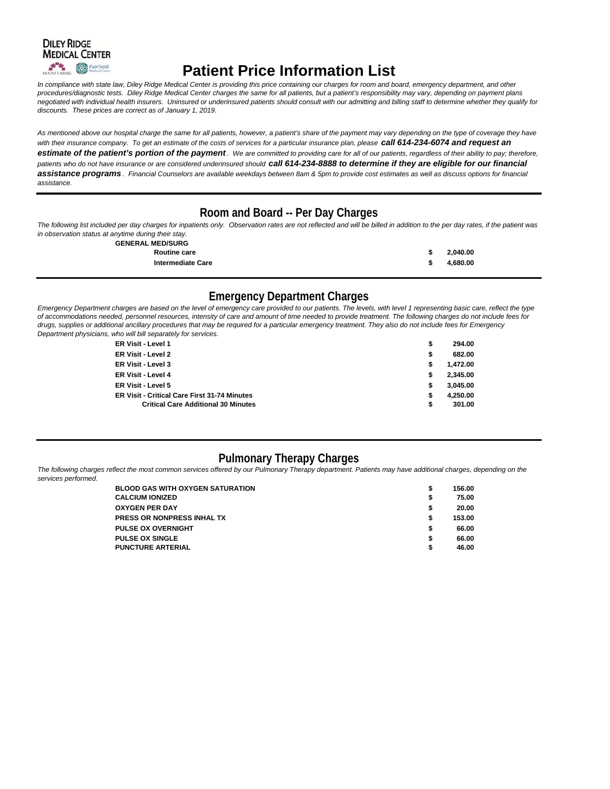

# **Patient Price Information List**

*In compliance with state law, Diley Ridge Medical Center is providing this price containing our charges for room and board, emergency department, and other procedures/diagnostic tests. Diley Ridge Medical Center charges the same for all patients, but a patient's responsibility may vary, depending on payment plans negotiated with individual health insurers. Uninsured or underinsured patients should consult with our admitting and billing staff to determine whether they qualify for discounts. These prices are correct as of January 1, 2019.*

As mentioned above our hospital charge the same for all patients, however, a patient's share of the payment may vary depending on the type of coverage they have with their insurance company. To get an estimate of the costs of services for a particular insurance plan, please **call 614-234-6074 and request an** *estimate of the patient's portion of the payment. We are committed to providing care for all of our patients, regardless of their ability to pay; therefore,*  patients who do not have insurance or are considered underinsured should call 614-234-8888 to determine if they are eligible for our financial *assistance programs . Financial Counselors are available weekdays between 8am & 5pm to provide cost estimates as well as discuss options for financial assistance.*

# **Room and Board -- Per Day Charges**

*The following list included per day charges for inpatients only. Observation rates are not reflected and will be billed in addition to the per day rates, if the patient was in observation status at anytime during their stay.*

**GENERAL MED/SURG**

| <b>ULINERAL MEDISURU</b> |               |          |
|--------------------------|---------------|----------|
| <b>Routine care</b>      | $\rightarrow$ | 2.040.00 |
| <b>Intermediate Care</b> |               | 4.680.00 |

# **Emergency Department Charges**

*Emergency Department charges are based on the level of emergency care provided to our patients. The levels, with level 1 representing basic care, reflect the type of accommodations needed, personnel resources, intensity of care and amount of time needed to provide treatment. The following charges do not include fees for drugs, supplies or additional ancillary procedures that may be required for a particular emergency treatment. They also do not include fees for Emergency Department physicians, who will bill separately for services.*

| ER Visit - Level 1                                  | \$ | 294.00   |  |
|-----------------------------------------------------|----|----------|--|
| ER Visit - Level 2                                  | S  | 682.00   |  |
| ER Visit - Level 3                                  | s  | 1,472.00 |  |
| ER Visit - Level 4                                  | \$ | 2.345.00 |  |
| ER Visit - Level 5                                  | S  | 3,045.00 |  |
| <b>ER Visit - Critical Care First 31-74 Minutes</b> | S  | 4.250.00 |  |
| <b>Critical Care Additional 30 Minutes</b>          | \$ | 301.00   |  |

# **Pulmonary Therapy Charges**

The following charges reflect the most common services offered by our Pulmonary Therapy department. Patients may have additional charges, depending on the *services performed.* 

| <b>BLOOD GAS WITH OXYGEN SATURATION</b> | 156.00 |
|-----------------------------------------|--------|
| <b>CALCIUM IONIZED</b>                  | 75.00  |
| <b>OXYGEN PER DAY</b>                   | 20.00  |
| <b>PRESS OR NONPRESS INHAL TX</b>       | 153.00 |
| <b>PULSE OX OVERNIGHT</b>               | 66.00  |
| <b>PULSE OX SINGLE</b>                  | 66.00  |
| <b>PUNCTURE ARTERIAL</b>                | 46.00  |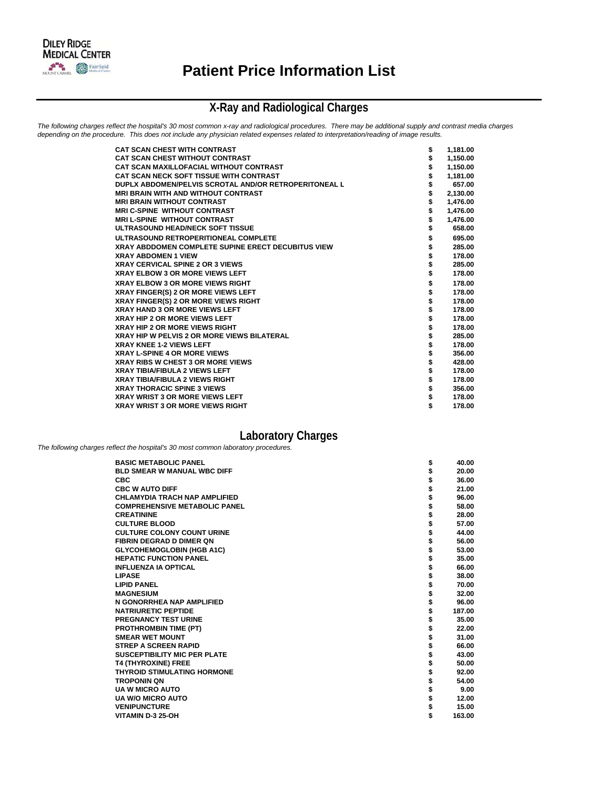

# **X-Ray and Radiological Charges**

*The following charges reflect the hospital's 30 most common x-ray and radiological procedures. There may be additional supply and contrast media charges depending on the procedure. This does not include any physician related expenses related to interpretation/reading of image results.*

| <b>CAT SCAN CHEST WITH CONTRAST</b><br>\$<br><b>CAT SCAN CHEST WITHOUT CONTRAST</b><br>CAT SCAN MAXILLOFACIAL WITHOUT CONTRAST | 1,181.00<br>1,150.00<br>1,150.00<br>1,181.00 |
|--------------------------------------------------------------------------------------------------------------------------------|----------------------------------------------|
|                                                                                                                                |                                              |
|                                                                                                                                |                                              |
| <b>CAT SCAN NECK SOFT TISSUE WITH CONTRAST</b>                                                                                 |                                              |
| \$<br>DUPLX ABDOMEN/PELVIS SCROTAL AND/OR RETROPERITONEAL L                                                                    | 657.00                                       |
| \$<br><b>MRI BRAIN WITH AND WITHOUT CONTRAST</b>                                                                               | 2,130.00                                     |
| \$<br><b>MRI BRAIN WITHOUT CONTRAST</b>                                                                                        | 1,476.00                                     |
| <b>MRI C-SPINE WITHOUT CONTRAST</b>                                                                                            | 1,476.00                                     |
| <b>MRI L-SPINE WITHOUT CONTRAST</b>                                                                                            | 1,476.00                                     |
| ULTRASOUND HEAD/NECK SOFT TISSUE                                                                                               | 658.00                                       |
| ULTRASOUND RETROPERITIONEAL COMPLETE<br>\$                                                                                     | 695.00                                       |
| \$<br><b>XRAY ABDDOMEN COMPLETE SUPINE ERECT DECUBITUS VIEW</b>                                                                | 285.00                                       |
| \$<br><b>XRAY ABDOMEN 1 VIEW</b>                                                                                               | 178.00                                       |
| <b>XRAY CERVICAL SPINE 2 OR 3 VIEWS</b>                                                                                        | 285.00                                       |
| <b>XRAY ELBOW 3 OR MORE VIEWS LEFT</b><br>\$                                                                                   | 178.00                                       |
| <b>XRAY ELBOW 3 OR MORE VIEWS RIGHT</b>                                                                                        | 178.00                                       |
| XRAY FINGER(S) 2 OR MORE VIEWS LEFT                                                                                            | 178.00                                       |
| XRAY FINGER(S) 2 OR MORE VIEWS RIGHT                                                                                           | 178.00                                       |
| <b>XRAY HAND 3 OR MORE VIEWS LEFT</b>                                                                                          | 178.00                                       |
| <b>XRAY HIP 2 OR MORE VIEWS LEFT</b>                                                                                           | 178.00                                       |
| \$<br><b>XRAY HIP 2 OR MORE VIEWS RIGHT</b>                                                                                    | 178.00                                       |
| <b>XRAY HIP W PELVIS 2 OR MORE VIEWS BILATERAL</b>                                                                             | 285.00                                       |
| <b>XRAY KNEE 1-2 VIEWS LEFT</b>                                                                                                | 178.00                                       |
| <b>XRAY L-SPINE 4 OR MORE VIEWS</b>                                                                                            | 356.00                                       |
| <b>XRAY RIBS W CHEST 3 OR MORE VIEWS</b>                                                                                       | 428.00                                       |
| <b>XRAY TIBIA/FIBULA 2 VIEWS LEFT</b>                                                                                          | 178.00                                       |
| <b>XRAY TIBIA/FIBULA 2 VIEWS RIGHT</b>                                                                                         | 178.00                                       |
| \$<br><b>XRAY THORACIC SPINE 3 VIEWS</b>                                                                                       | 356.00                                       |
| <b>XRAY WRIST 3 OR MORE VIEWS LEFT</b><br>\$                                                                                   | 178.00                                       |
| \$<br><b>XRAY WRIST 3 OR MORE VIEWS RIGHT</b>                                                                                  | 178.00                                       |

# **Laboratory Charges**

*The following charges reflect the hospital's 30 most common laboratory procedures.*

| <b>BASIC METABOLIC PANEL</b>         | \$<br>40.00  |
|--------------------------------------|--------------|
| <b>BLD SMEAR W MANUAL WBC DIFF</b>   | \$<br>20.00  |
| <b>CBC</b>                           | 36.00        |
| <b>CBC W AUTO DIFF</b>               | 21.00        |
| <b>CHLAMYDIA TRACH NAP AMPLIFIED</b> | 96.00        |
| <b>COMPREHENSIVE METABOLIC PANEL</b> | 58.00        |
| <b>CREATININE</b>                    | 28.00        |
| <b>CULTURE BLOOD</b>                 | 57.00        |
| <b>CULTURE COLONY COUNT URINE</b>    | 44.00        |
| <b>FIBRIN DEGRAD D DIMER ON</b>      | 56.00        |
| <b>GLYCOHEMOGLOBIN (HGB A1C)</b>     | 53.00        |
| <b>HEPATIC FUNCTION PANEL</b>        | 35.00        |
| <b>INFLUENZA IA OPTICAL</b>          | 66.00        |
| <b>LIPASE</b>                        | 38.00        |
| <b>LIPID PANEL</b>                   | 70.00        |
| <b>MAGNESIUM</b>                     | 32.00        |
| N GONORRHEA NAP AMPLIFIED            | 96.00        |
| <b>NATRIURETIC PEPTIDE</b>           | 187.00       |
| <b>PREGNANCY TEST URINE</b>          | 35.00        |
| <b>PROTHROMBIN TIME (PT)</b>         | 22.00        |
| <b>SMEAR WET MOUNT</b>               | 31.00        |
| <b>STREP A SCREEN RAPID</b>          | 66.00        |
| <b>SUSCEPTIBILITY MIC PER PLATE</b>  | 43.00        |
| <b>T4 (THYROXINE) FREE</b>           | 50.00        |
| <b>THYROID STIMULATING HORMONE</b>   | 92.00        |
| <b>TROPONIN QN</b>                   | 54.00        |
| <b>UA W MICRO AUTO</b>               | 9.00         |
| <b>UA W/O MICRO AUTO</b>             | \$<br>12.00  |
| <b>VENIPUNCTURE</b>                  | 15.00        |
| VITAMIN D-3 25-OH                    | \$<br>163.00 |
|                                      |              |